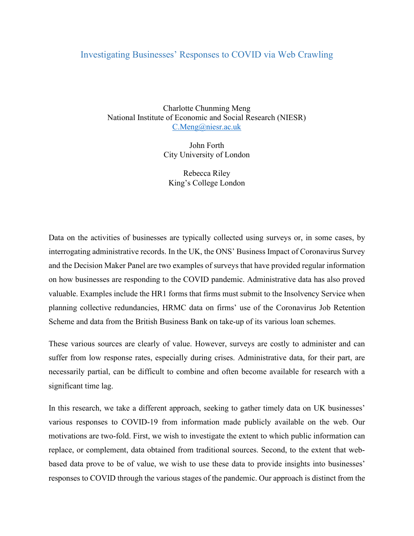## Investigating Businesses' Responses to COVID via Web Crawling

Charlotte Chunming Meng National Institute of Economic and Social Research (NIESR) C.Meng@niesr.ac.uk

> John Forth City University of London

Rebecca Riley King's College London

Data on the activities of businesses are typically collected using surveys or, in some cases, by interrogating administrative records. In the UK, the ONS' Business Impact of Coronavirus Survey and the Decision Maker Panel are two examples of surveys that have provided regular information on how businesses are responding to the COVID pandemic. Administrative data has also proved valuable. Examples include the HR1 forms that firms must submit to the Insolvency Service when planning collective redundancies, HRMC data on firms' use of the Coronavirus Job Retention Scheme and data from the British Business Bank on take-up of its various loan schemes.

These various sources are clearly of value. However, surveys are costly to administer and can suffer from low response rates, especially during crises. Administrative data, for their part, are necessarily partial, can be difficult to combine and often become available for research with a significant time lag.

In this research, we take a different approach, seeking to gather timely data on UK businesses' various responses to COVID-19 from information made publicly available on the web. Our motivations are two-fold. First, we wish to investigate the extent to which public information can replace, or complement, data obtained from traditional sources. Second, to the extent that webbased data prove to be of value, we wish to use these data to provide insights into businesses' responses to COVID through the various stages of the pandemic. Our approach is distinct from the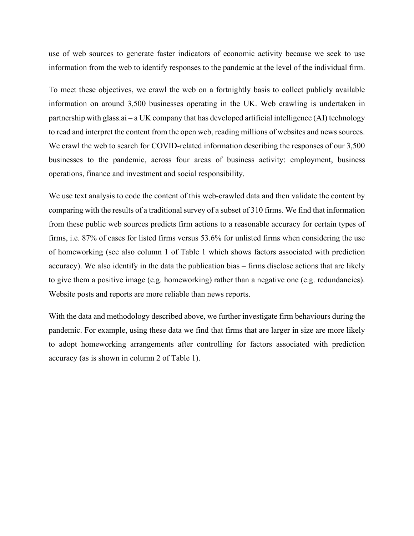use of web sources to generate faster indicators of economic activity because we seek to use information from the web to identify responses to the pandemic at the level of the individual firm.

To meet these objectives, we crawl the web on a fortnightly basis to collect publicly available information on around 3,500 businesses operating in the UK. Web crawling is undertaken in partnership with glass.ai – a UK company that has developed artificial intelligence (AI) technology to read and interpret the content from the open web, reading millions of websites and news sources. We crawl the web to search for COVID-related information describing the responses of our 3,500 businesses to the pandemic, across four areas of business activity: employment, business operations, finance and investment and social responsibility.

We use text analysis to code the content of this web-crawled data and then validate the content by comparing with the results of a traditional survey of a subset of 310 firms. We find that information from these public web sources predicts firm actions to a reasonable accuracy for certain types of firms, i.e. 87% of cases for listed firms versus 53.6% for unlisted firms when considering the use of homeworking (see also column 1 of Table 1 which shows factors associated with prediction accuracy). We also identify in the data the publication bias – firms disclose actions that are likely to give them a positive image (e.g. homeworking) rather than a negative one (e.g. redundancies). Website posts and reports are more reliable than news reports.

With the data and methodology described above, we further investigate firm behaviours during the pandemic. For example, using these data we find that firms that are larger in size are more likely to adopt homeworking arrangements after controlling for factors associated with prediction accuracy (as is shown in column 2 of Table 1).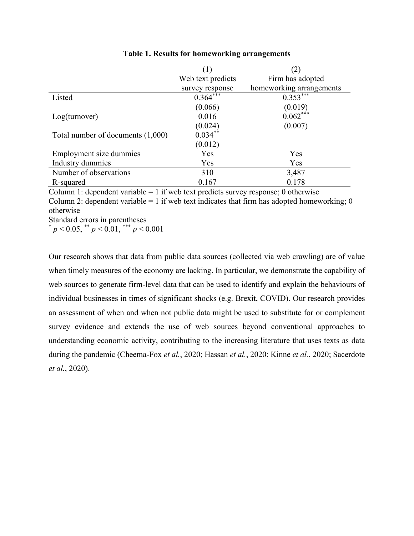|                                     | (1)                    | (2)                      |
|-------------------------------------|------------------------|--------------------------|
|                                     | Web text predicts      | Firm has adopted         |
|                                     | survey response        | homeworking arrangements |
| Listed                              | $0.364$ <sup>***</sup> | $0.353***$               |
|                                     | (0.066)                | (0.019)                  |
| Log(turnover)                       | 0.016                  | $0.062***$               |
|                                     | (0.024)                | (0.007)                  |
| Total number of documents $(1,000)$ | $0.034***$             |                          |
|                                     | (0.012)                |                          |
| Employment size dummies             | Yes                    | Yes                      |
| Industry dummies                    | Yes                    | Yes                      |
| Number of observations              | 310                    | 3,487                    |
| R-squared                           | 0.167                  | 0.178                    |

Table 1. Results for homeworking arrangements

Column 1: dependent variable  $= 1$  if web text predicts survey response; 0 otherwise Column 2: dependent variable = 1 if web text indicates that firm has adopted homeworking; 0 otherwise

Standard errors in parentheses

 $p < 0.05$ , \*\*  $p < 0.01$ , \*\*\*  $p < 0.001$ 

Our research shows that data from public data sources (collected via web crawling) are of value when timely measures of the economy are lacking. In particular, we demonstrate the capability of web sources to generate firm-level data that can be used to identify and explain the behaviours of individual businesses in times of significant shocks (e.g. Brexit, COVID). Our research provides an assessment of when and when not public data might be used to substitute for or complement survey evidence and extends the use of web sources beyond conventional approaches to understanding economic activity, contributing to the increasing literature that uses texts as data during the pandemic (Cheema-Fox et al., 2020; Hassan et al., 2020; Kinne et al., 2020; Sacerdote et al., 2020).